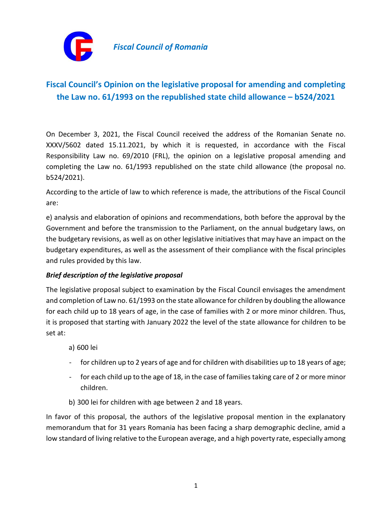

## **Fiscal Council's Opinion on the legislative proposal for amending and completing the Law no. 61/1993 on the republished state child allowance – b524/2021**

On December 3, 2021, the Fiscal Council received the address of the Romanian Senate no. XXXV/5602 dated 15.11.2021, by which it is requested, in accordance with the Fiscal Responsibility Law no. 69/2010 (FRL), the opinion on a legislative proposal amending and completing the Law no. 61/1993 republished on the state child allowance (the proposal no. b524/2021).

According to the article of law to which reference is made, the attributions of the Fiscal Council are:

e) analysis and elaboration of opinions and recommendations, both before the approval by the Government and before the transmission to the Parliament, on the annual budgetary laws, on the budgetary revisions, as well as on other legislative initiatives that may have an impact on the budgetary expenditures, as well as the assessment of their compliance with the fiscal principles and rules provided by this law.

## *Brief description of the legislative proposal*

The legislative proposal subject to examination by the Fiscal Council envisages the amendment and completion of Law no. 61/1993 on the state allowance for children by doubling the allowance for each child up to 18 years of age, in the case of families with 2 or more minor children. Thus, it is proposed that starting with January 2022 the level of the state allowance for children to be set at:

a) 600 lei

- for children up to 2 years of age and for children with disabilities up to 18 years of age;
- for each child up to the age of 18, in the case of families taking care of 2 or more minor children.
- b) 300 lei for children with age between 2 and 18 years.

In favor of this proposal, the authors of the legislative proposal mention in the explanatory memorandum that for 31 years Romania has been facing a sharp demographic decline, amid a low standard of living relative to the European average, and a high poverty rate, especially among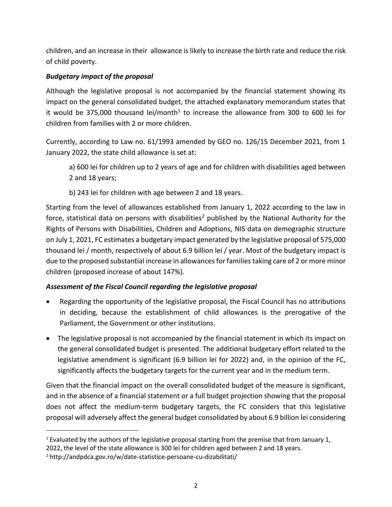children, and an increase in their allowance is likely to increase the birth rate and reduce the risk of child poverty.

## *Budgetary impact of the proposal*

Although the legislative proposal is not accompanied by the financial statement showing its impact on the general consolidated budget, the attached explanatory memorandum states that it would be 375,000 thousand lei/month<sup>1</sup> to increase the allowance from 300 to 600 lei for children from families with 2 or more children.

Currently, according to Law no. 61/1993 amended by GEO no. 126/15 December 2021, from 1 January 2022, the state child allowance is set at:

a) 600 lei for children up to 2 years of age and for children with disabilities aged between 2 and 18 years;

b) 243 lei for children with age between 2 and 18 years.

Starting from the level of allowances established from January 1, 2022 according to the law in force, statistical data on persons with disabilities<sup>2</sup> published by the National Authority for the Rights of Persons with Disabilities, Children and Adoptions, NIS data on demographic structure on July 1, 2021, FC estimates a budgetary impact generated by the legislative proposal of 575,000 thousand lei / month, respectively of about 6.9 billion lei / year. Most of the budgetary impact is due to the proposed substantial increase in allowances for families taking care of 2 or more minor children (proposed increase of about 147%).

## *Assessment of the Fiscal Council regarding the legislative proposal*

- Regarding the opportunity of the legislative proposal, the Fiscal Council has no attributions in deciding, because the establishment of child allowances is the prerogative of the Parliament, the Government or other institutions.
- The legislative proposal is not accompanied by the financial statement in which its impact on the general consolidated budget is presented. The additional budgetary effort related to the legislative amendment is significant (6.9 billion lei for 2022) and, in the opinion of the FC, significantly affects the budgetary targets for the current year and in the medium term.

Given that the financial impact on the overall consolidated budget of the measure is significant, and in the absence of a financial statement or a full budget projection showing that the proposal does not affect the medium-term budgetary targets, the FC considers that this legislative proposal will adversely affect the general budget consolidated by about 6.9 billion lei considering

<sup>&</sup>lt;sup>1</sup> Evaluated by the authors of the legislative proposal starting from the premise that from January 1,

<sup>2022,</sup> the level of the state allowance is 300 lei for children aged between 2 and 18 years.

<sup>2</sup> http://andpdca.gov.ro/w/date-statistice-persoane-cu-dizabilitati/